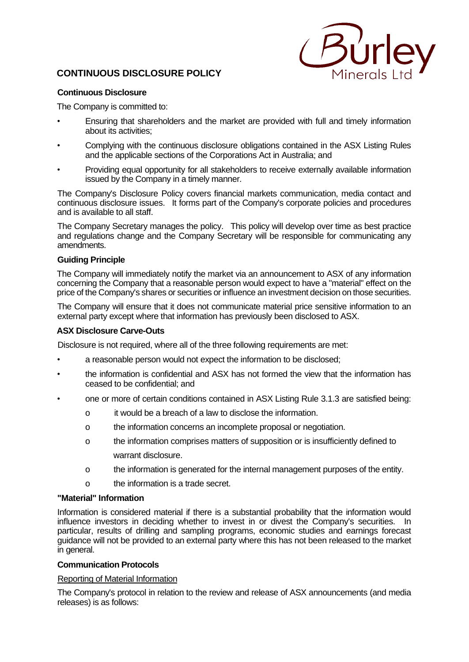# **CONTINUOUS DISCLOSURE POLICY**



# **Continuous Disclosure**

The Company is committed to:

- Ensuring that shareholders and the market are provided with full and timely information about its activities;
- Complying with the continuous disclosure obligations contained in the ASX Listing Rules and the applicable sections of the Corporations Act in Australia; and
- Providing equal opportunity for all stakeholders to receive externally available information issued by the Company in a timely manner.

The Company's Disclosure Policy covers financial markets communication, media contact and continuous disclosure issues. It forms part of the Company's corporate policies and procedures and is available to all staff.

The Company Secretary manages the policy. This policy will develop over time as best practice and regulations change and the Company Secretary will be responsible for communicating any amendments.

#### **Guiding Principle**

The Company will immediately notify the market via an announcement to ASX of any information concerning the Company that a reasonable person would expect to have a "material" effect on the price of the Company's shares or securities or influence an investment decision on those securities.

The Company will ensure that it does not communicate material price sensitive information to an external party except where that information has previously been disclosed to ASX.

#### **ASX Disclosure Carve-Outs**

Disclosure is not required, where all of the three following requirements are met:

- a reasonable person would not expect the information to be disclosed;
- the information is confidential and ASX has not formed the view that the information has ceased to be confidential; and
- one or more of certain conditions contained in ASX Listing Rule 3.1.3 are satisfied being:
	- o it would be a breach of a law to disclose the information.
	- o the information concerns an incomplete proposal or negotiation.
	- o the information comprises matters of supposition or is insufficiently defined to warrant disclosure.
	- o the information is generated for the internal management purposes of the entity.
	- o the information is a trade secret.

### **"Material" Information**

Information is considered material if there is a substantial probability that the information would influence investors in deciding whether to invest in or divest the Company's securities. In particular, results of drilling and sampling programs, economic studies and earnings forecast guidance will not be provided to an external party where this has not been released to the market in general.

# **Communication Protocols**

# Reporting of Material Information

The Company's protocol in relation to the review and release of ASX announcements (and media releases) is as follows: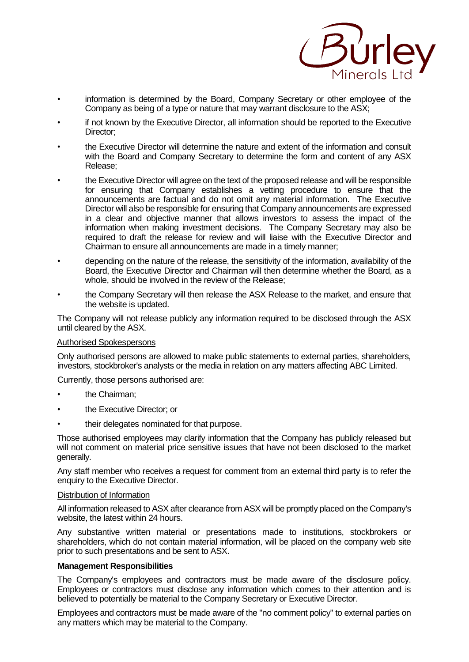

- information is determined by the Board, Company Secretary or other employee of the Company as being of a type or nature that may warrant disclosure to the ASX;
- if not known by the Executive Director, all information should be reported to the Executive Director:
- the Executive Director will determine the nature and extent of the information and consult with the Board and Company Secretary to determine the form and content of any ASX Release;
- the Executive Director will agree on the text of the proposed release and will be responsible for ensuring that Company establishes a vetting procedure to ensure that the announcements are factual and do not omit any material information. The Executive Director will also be responsible for ensuring that Company announcements are expressed in a clear and objective manner that allows investors to assess the impact of the information when making investment decisions. The Company Secretary may also be required to draft the release for review and will liaise with the Executive Director and Chairman to ensure all announcements are made in a timely manner;
- depending on the nature of the release, the sensitivity of the information, availability of the Board, the Executive Director and Chairman will then determine whether the Board, as a whole, should be involved in the review of the Release;
- the Company Secretary will then release the ASX Release to the market, and ensure that the website is updated.

The Company will not release publicly any information required to be disclosed through the ASX until cleared by the ASX.

# Authorised Spokespersons

Only authorised persons are allowed to make public statements to external parties, shareholders, investors, stockbroker's analysts or the media in relation on any matters affecting ABC Limited.

Currently, those persons authorised are:

- **the Chairman:**
- the Executive Director; or
- their delegates nominated for that purpose.

Those authorised employees may clarify information that the Company has publicly released but will not comment on material price sensitive issues that have not been disclosed to the market generally.

Any staff member who receives a request for comment from an external third party is to refer the enquiry to the Executive Director.

#### Distribution of Information

All information released to ASX after clearance from ASX will be promptly placed on the Company's website, the latest within 24 hours.

Any substantive written material or presentations made to institutions, stockbrokers or shareholders, which do not contain material information, will be placed on the company web site prior to such presentations and be sent to ASX.

#### **Management Responsibilities**

The Company's employees and contractors must be made aware of the disclosure policy. Employees or contractors must disclose any information which comes to their attention and is believed to potentially be material to the Company Secretary or Executive Director.

Employees and contractors must be made aware of the "no comment policy" to external parties on any matters which may be material to the Company.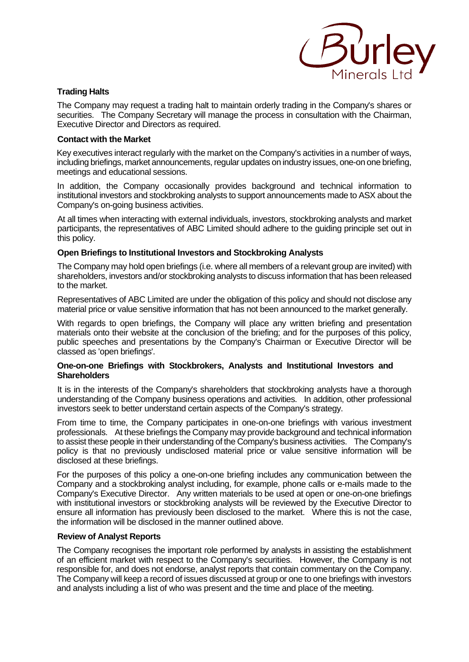

# **Trading Halts**

The Company may request a trading halt to maintain orderly trading in the Company's shares or securities. The Company Secretary will manage the process in consultation with the Chairman, Executive Director and Directors as required.

# **Contact with the Market**

Key executives interact regularly with the market on the Company's activities in a number of ways, including briefings, market announcements, regular updates on industry issues, one-on one briefing, meetings and educational sessions.

In addition, the Company occasionally provides background and technical information to institutional investors and stockbroking analysts to support announcements made to ASX about the Company's on-going business activities.

At all times when interacting with external individuals, investors, stockbroking analysts and market participants, the representatives of ABC Limited should adhere to the guiding principle set out in this policy.

# **Open Briefings to Institutional Investors and Stockbroking Analysts**

The Company may hold open briefings (i.e. where all members of a relevant group are invited) with shareholders, investors and/or stockbroking analysts to discuss information that has been released to the market.

Representatives of ABC Limited are under the obligation of this policy and should not disclose any material price or value sensitive information that has not been announced to the market generally.

With regards to open briefings, the Company will place any written briefing and presentation materials onto their website at the conclusion of the briefing; and for the purposes of this policy, public speeches and presentations by the Company's Chairman or Executive Director will be classed as 'open briefings'.

#### **One-on-one Briefings with Stockbrokers, Analysts and Institutional Investors and Shareholders**

It is in the interests of the Company's shareholders that stockbroking analysts have a thorough understanding of the Company business operations and activities. In addition, other professional investors seek to better understand certain aspects of the Company's strategy.

From time to time, the Company participates in one-on-one briefings with various investment professionals. At these briefings the Company may provide background and technical information to assist these people in their understanding of the Company's business activities. The Company's policy is that no previously undisclosed material price or value sensitive information will be disclosed at these briefings.

For the purposes of this policy a one-on-one briefing includes any communication between the Company and a stockbroking analyst including, for example, phone calls or e-mails made to the Company's Executive Director. Any written materials to be used at open or one-on-one briefings with institutional investors or stockbroking analysts will be reviewed by the Executive Director to ensure all information has previously been disclosed to the market. Where this is not the case, the information will be disclosed in the manner outlined above.

# **Review of Analyst Reports**

The Company recognises the important role performed by analysts in assisting the establishment of an efficient market with respect to the Company's securities. However, the Company is not responsible for, and does not endorse, analyst reports that contain commentary on the Company. The Company will keep a record of issues discussed at group or one to one briefings with investors and analysts including a list of who was present and the time and place of the meeting.